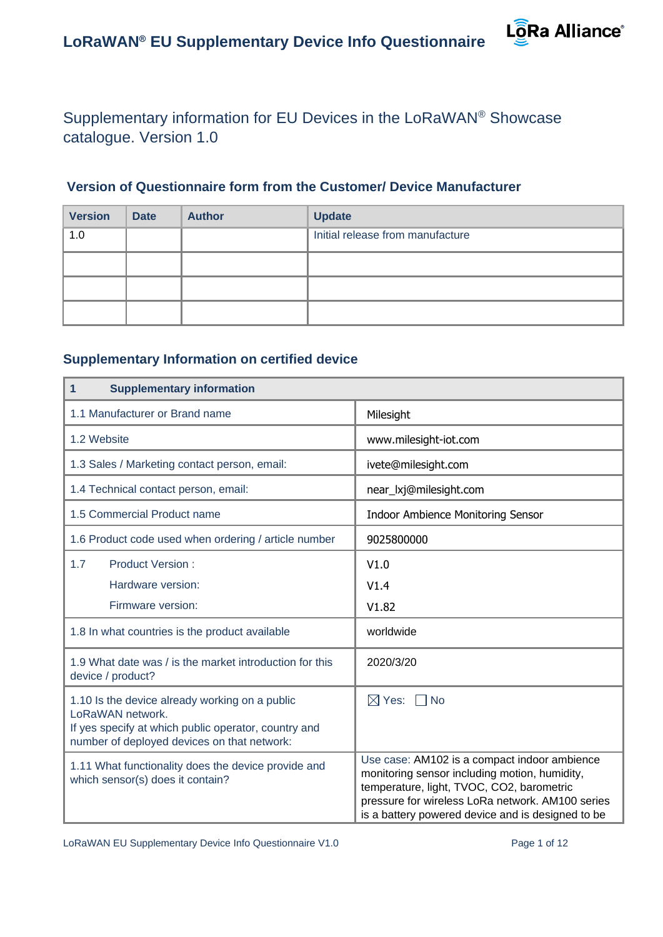

### Supplementary information for EU Devices in the LoRaWAN® Showcase catalogue. Version 1.0

### **Version of Questionnaire form from the Customer/ Device Manufacturer**

| <b>Version</b> | <b>Date</b> | <b>Author</b> | <b>Update</b>                    |
|----------------|-------------|---------------|----------------------------------|
| 1.0            |             |               | Initial release from manufacture |
|                |             |               |                                  |
|                |             |               |                                  |
|                |             |               |                                  |

### **Supplementary Information on certified device**

| <b>Supplementary information</b><br>1                                                                                                                                     |                                                                                                                                                                                                                                                     |
|---------------------------------------------------------------------------------------------------------------------------------------------------------------------------|-----------------------------------------------------------------------------------------------------------------------------------------------------------------------------------------------------------------------------------------------------|
| 1.1 Manufacturer or Brand name                                                                                                                                            | Milesight                                                                                                                                                                                                                                           |
| 1.2 Website                                                                                                                                                               | www.milesight-iot.com                                                                                                                                                                                                                               |
| 1.3 Sales / Marketing contact person, email:                                                                                                                              | ivete@milesight.com                                                                                                                                                                                                                                 |
| 1.4 Technical contact person, email:                                                                                                                                      | near_lxj@milesight.com                                                                                                                                                                                                                              |
| 1.5 Commercial Product name                                                                                                                                               | <b>Indoor Ambience Monitoring Sensor</b>                                                                                                                                                                                                            |
| 1.6 Product code used when ordering / article number                                                                                                                      | 9025800000                                                                                                                                                                                                                                          |
| 1.7<br><b>Product Version:</b>                                                                                                                                            | V1.0                                                                                                                                                                                                                                                |
| Hardware version:                                                                                                                                                         | V1.4                                                                                                                                                                                                                                                |
| Firmware version:                                                                                                                                                         | V1.82                                                                                                                                                                                                                                               |
| 1.8 In what countries is the product available                                                                                                                            | worldwide                                                                                                                                                                                                                                           |
| 1.9 What date was / is the market introduction for this<br>device / product?                                                                                              | 2020/3/20                                                                                                                                                                                                                                           |
| 1.10 Is the device already working on a public<br>LoRaWAN network.<br>If yes specify at which public operator, country and<br>number of deployed devices on that network: | $\boxtimes$ Yes:<br>$\Box$ No                                                                                                                                                                                                                       |
| 1.11 What functionality does the device provide and<br>which sensor(s) does it contain?                                                                                   | Use case: AM102 is a compact indoor ambience<br>monitoring sensor including motion, humidity,<br>temperature, light, TVOC, CO2, barometric<br>pressure for wireless LoRa network. AM100 series<br>is a battery powered device and is designed to be |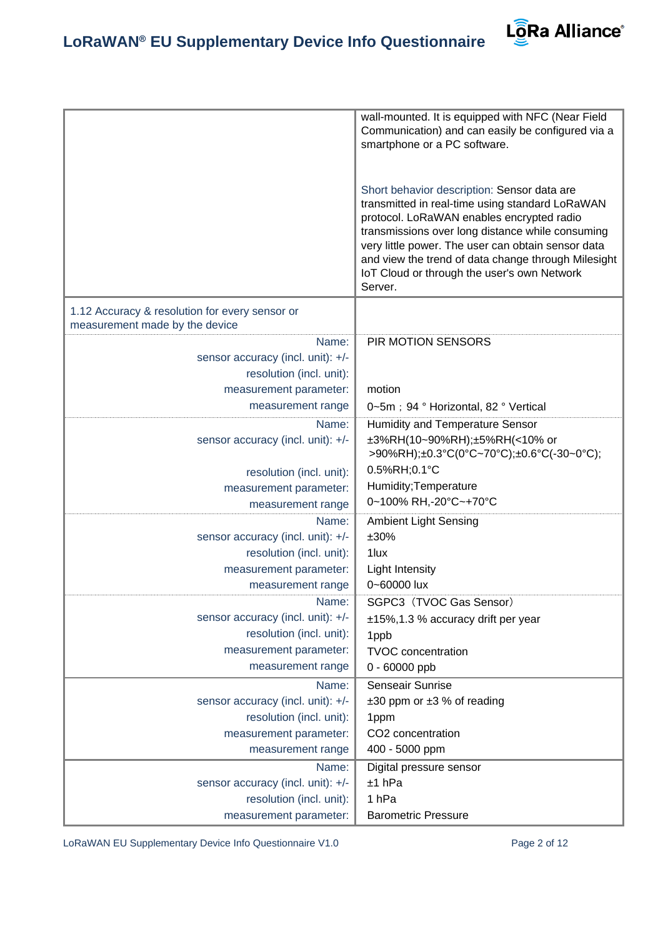

|                                                                                  | wall-mounted. It is equipped with NFC (Near Field<br>Communication) and can easily be configured via a                                                                                                                                                                                                                                                                 |
|----------------------------------------------------------------------------------|------------------------------------------------------------------------------------------------------------------------------------------------------------------------------------------------------------------------------------------------------------------------------------------------------------------------------------------------------------------------|
|                                                                                  | smartphone or a PC software.                                                                                                                                                                                                                                                                                                                                           |
|                                                                                  |                                                                                                                                                                                                                                                                                                                                                                        |
|                                                                                  | Short behavior description: Sensor data are<br>transmitted in real-time using standard LoRaWAN<br>protocol. LoRaWAN enables encrypted radio<br>transmissions over long distance while consuming<br>very little power. The user can obtain sensor data<br>and view the trend of data change through Milesight<br>IoT Cloud or through the user's own Network<br>Server. |
| 1.12 Accuracy & resolution for every sensor or<br>measurement made by the device |                                                                                                                                                                                                                                                                                                                                                                        |
| Name:                                                                            | PIR MOTION SENSORS                                                                                                                                                                                                                                                                                                                                                     |
| sensor accuracy (incl. unit): +/-                                                |                                                                                                                                                                                                                                                                                                                                                                        |
| resolution (incl. unit):                                                         |                                                                                                                                                                                                                                                                                                                                                                        |
| measurement parameter:                                                           | motion                                                                                                                                                                                                                                                                                                                                                                 |
| measurement range                                                                | 0~5m; 94 ° Horizontal, 82 ° Vertical                                                                                                                                                                                                                                                                                                                                   |
| Name:                                                                            | Humidity and Temperature Sensor                                                                                                                                                                                                                                                                                                                                        |
| sensor accuracy (incl. unit): +/-                                                | ±3%RH(10~90%RH);±5%RH(<10% or<br>>90%RH);±0.3°C(0°C~70°C);±0.6°C(-30~0°C);                                                                                                                                                                                                                                                                                             |
| resolution (incl. unit):                                                         | $0.5\%RH;0.1^{\circ}C$                                                                                                                                                                                                                                                                                                                                                 |
| measurement parameter:                                                           | Humidity; Temperature                                                                                                                                                                                                                                                                                                                                                  |
| measurement range                                                                | 0~100% RH,-20°C~+70°C                                                                                                                                                                                                                                                                                                                                                  |
| Name:                                                                            | <b>Ambient Light Sensing</b>                                                                                                                                                                                                                                                                                                                                           |
| sensor accuracy (incl. unit): +/-                                                | $±30\%$                                                                                                                                                                                                                                                                                                                                                                |
| resolution (incl. unit):                                                         | 1lux                                                                                                                                                                                                                                                                                                                                                                   |
| measurement parameter:                                                           | <b>Light Intensity</b>                                                                                                                                                                                                                                                                                                                                                 |
| measurement range                                                                | 0~60000 lux                                                                                                                                                                                                                                                                                                                                                            |
| Name:                                                                            | SGPC3 (TVOC Gas Sensor)                                                                                                                                                                                                                                                                                                                                                |
| sensor accuracy (incl. unit): +/-<br>resolution (incl. unit):                    | ±15%, 1.3 % accuracy drift per year                                                                                                                                                                                                                                                                                                                                    |
| measurement parameter:                                                           | 1ppb<br><b>TVOC</b> concentration                                                                                                                                                                                                                                                                                                                                      |
| measurement range                                                                | 0 - 60000 ppb                                                                                                                                                                                                                                                                                                                                                          |
| Name:                                                                            | <b>Senseair Sunrise</b>                                                                                                                                                                                                                                                                                                                                                |
| sensor accuracy (incl. unit): +/-                                                | $±30$ ppm or $±3$ % of reading                                                                                                                                                                                                                                                                                                                                         |
| resolution (incl. unit):                                                         | 1ppm                                                                                                                                                                                                                                                                                                                                                                   |
| measurement parameter:                                                           | CO2 concentration                                                                                                                                                                                                                                                                                                                                                      |
| measurement range                                                                | 400 - 5000 ppm                                                                                                                                                                                                                                                                                                                                                         |
| Name:                                                                            | Digital pressure sensor                                                                                                                                                                                                                                                                                                                                                |
| sensor accuracy (incl. unit): +/-                                                | $±1$ hPa                                                                                                                                                                                                                                                                                                                                                               |
| resolution (incl. unit):                                                         | 1 <sub>hPa</sub>                                                                                                                                                                                                                                                                                                                                                       |
| measurement parameter:                                                           | <b>Barometric Pressure</b>                                                                                                                                                                                                                                                                                                                                             |

LoRaWAN EU Supplementary Device Info Questionnaire V1.0 example 2 of 12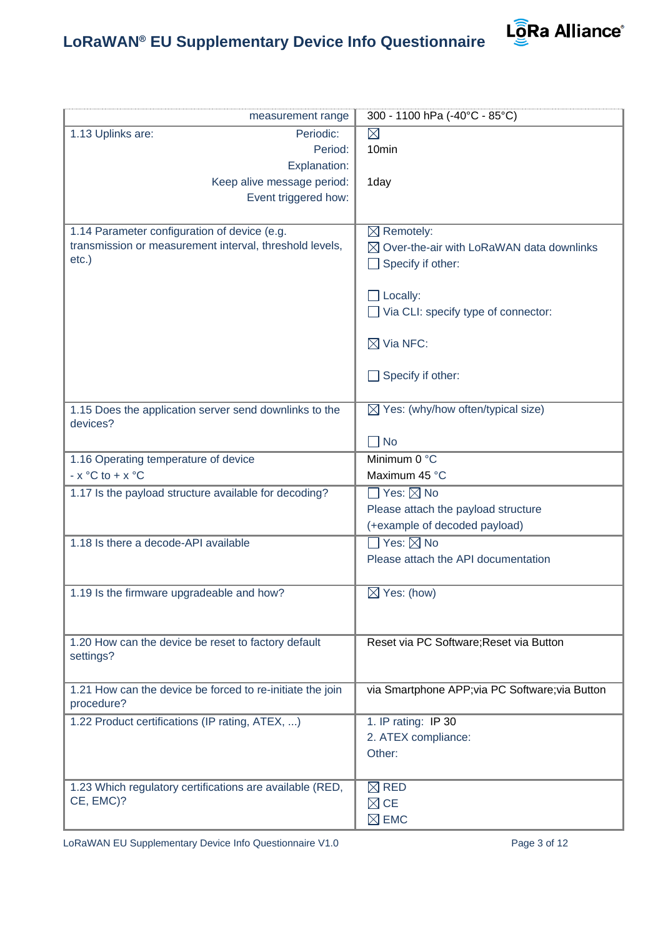

| measurement range                                                  | 300 - 1100 hPa (-40°C - 85°C)                                        |
|--------------------------------------------------------------------|----------------------------------------------------------------------|
| Periodic:<br>1.13 Uplinks are:                                     | $\boxtimes$                                                          |
| Period:                                                            | 10 <sub>min</sub>                                                    |
| Explanation:                                                       |                                                                      |
| Keep alive message period:                                         | 1day                                                                 |
| Event triggered how:                                               |                                                                      |
|                                                                    |                                                                      |
| 1.14 Parameter configuration of device (e.g.                       | $\boxtimes$ Remotely:                                                |
| transmission or measurement interval, threshold levels,            | $\boxtimes$ Over-the-air with LoRaWAN data downlinks                 |
| $etc.$ )                                                           | Specify if other:                                                    |
|                                                                    |                                                                      |
|                                                                    | Locally:                                                             |
|                                                                    | Via CLI: specify type of connector:                                  |
|                                                                    |                                                                      |
|                                                                    | $\boxtimes$ Via NFC:                                                 |
|                                                                    |                                                                      |
|                                                                    | Specify if other:<br>$\blacksquare$                                  |
|                                                                    |                                                                      |
| 1.15 Does the application server send downlinks to the<br>devices? | $\boxtimes$ Yes: (why/how often/typical size)                        |
|                                                                    |                                                                      |
|                                                                    | $\Box$ No                                                            |
| 1.16 Operating temperature of device<br>- $x °C$ to + $x °C$       | Minimum 0 °C<br>Maximum 45 °C                                        |
|                                                                    |                                                                      |
| 1.17 Is the payload structure available for decoding?              | $\Box$ Yes: $\boxtimes$ No                                           |
|                                                                    | Please attach the payload structure<br>(+example of decoded payload) |
| 1.18 Is there a decode-API available                               | $\Box$ Yes: $\boxtimes$ No                                           |
|                                                                    | Please attach the API documentation                                  |
|                                                                    |                                                                      |
| 1.19 Is the firmware upgradeable and how?                          | $\boxtimes$ Yes: (how)                                               |
|                                                                    |                                                                      |
|                                                                    |                                                                      |
| 1.20 How can the device be reset to factory default                | Reset via PC Software; Reset via Button                              |
| settings?                                                          |                                                                      |
|                                                                    |                                                                      |
| 1.21 How can the device be forced to re-initiate the join          | via Smartphone APP; via PC Software; via Button                      |
| procedure?                                                         |                                                                      |
| 1.22 Product certifications (IP rating, ATEX, )                    | 1. IP rating: IP 30                                                  |
|                                                                    | 2. ATEX compliance:                                                  |
|                                                                    | Other:                                                               |
|                                                                    |                                                                      |
| 1.23 Which regulatory certifications are available (RED,           | $\boxtimes$ RED                                                      |
| CE, EMC)?                                                          | $\boxtimes$ CE                                                       |
|                                                                    | $\boxtimes$ EMC                                                      |

LoRaWAN EU Supplementary Device Info Questionnaire V1.0 example of the Sample 2 of 12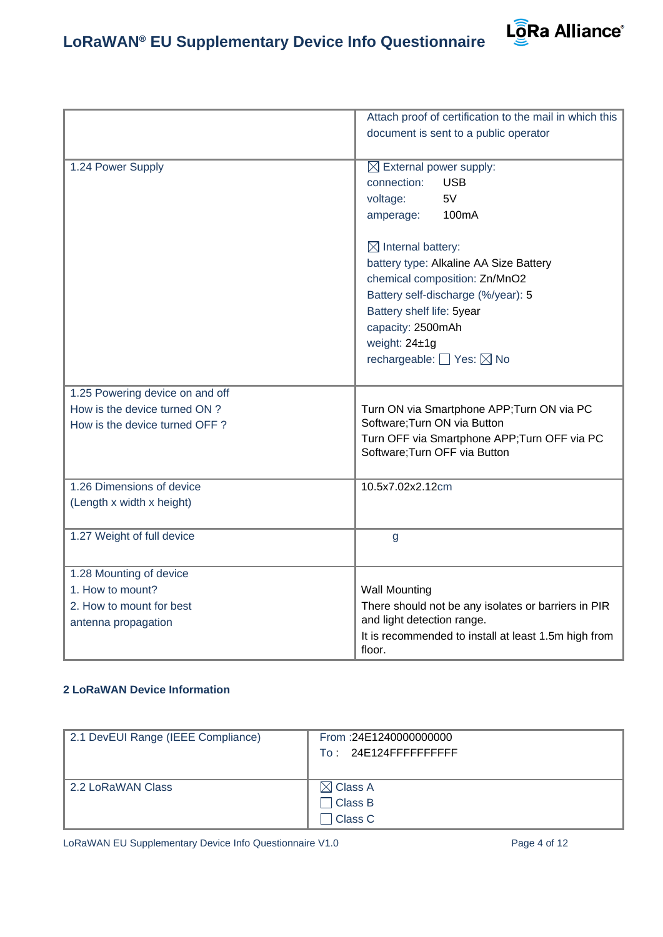

|                                 | Attach proof of certification to the mail in which this        |
|---------------------------------|----------------------------------------------------------------|
|                                 | document is sent to a public operator                          |
|                                 |                                                                |
| 1.24 Power Supply               | $\boxtimes$ External power supply:                             |
|                                 | connection:<br><b>USB</b>                                      |
|                                 | voltage:<br>5V                                                 |
|                                 | 100mA<br>amperage:                                             |
|                                 |                                                                |
|                                 | $\boxtimes$ Internal battery:                                  |
|                                 | battery type: Alkaline AA Size Battery                         |
|                                 | chemical composition: Zn/MnO2                                  |
|                                 | Battery self-discharge (%/year): 5                             |
|                                 | Battery shelf life: 5year                                      |
|                                 | capacity: 2500mAh                                              |
|                                 | weight: 24±1g                                                  |
|                                 | rechargeable: $\Box$ Yes: $\boxtimes$ No                       |
|                                 |                                                                |
| 1.25 Powering device on and off |                                                                |
| How is the device turned ON?    | Turn ON via Smartphone APP; Turn ON via PC                     |
| How is the device turned OFF?   | Software; Turn ON via Button                                   |
|                                 | Turn OFF via Smartphone APP; Turn OFF via PC                   |
|                                 | Software; Turn OFF via Button                                  |
|                                 |                                                                |
| 1.26 Dimensions of device       | 10.5x7.02x2.12cm                                               |
| (Length x width x height)       |                                                                |
|                                 |                                                                |
| 1.27 Weight of full device      | $\mathsf g$                                                    |
|                                 |                                                                |
| 1.28 Mounting of device         |                                                                |
| 1. How to mount?                | <b>Wall Mounting</b>                                           |
| 2. How to mount for best        | There should not be any isolates or barriers in PIR            |
| antenna propagation             | and light detection range.                                     |
|                                 | It is recommended to install at least 1.5m high from<br>floor. |

#### **2 LoRaWAN Device Information**

| 2.1 DevEUI Range (IEEE Compliance) | From: 24E1240000000000<br>To: 24E124FFFFFFFFFFF    |
|------------------------------------|----------------------------------------------------|
| 2.2 LoRaWAN Class                  | $\boxtimes$ Class A<br>$\Box$ Class B<br>  Class C |

LoRaWAN EU Supplementary Device Info Questionnaire V1.0 example 20 and 2 Page 4 of 12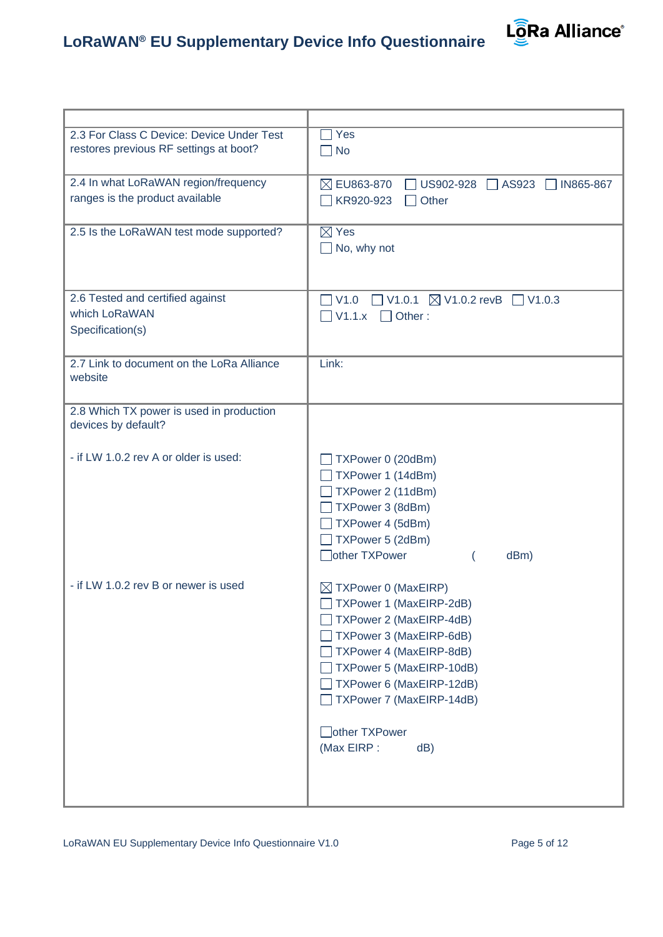

| 2.3 For Class C Device: Device Under Test | Yes                                                                             |
|-------------------------------------------|---------------------------------------------------------------------------------|
| restores previous RF settings at boot?    | <b>No</b>                                                                       |
|                                           |                                                                                 |
| 2.4 In what LoRaWAN region/frequency      | $\boxtimes$ EU863-870<br>US902-928<br>$\Box$ AS923<br>IN865-867<br>$\mathbf{I}$ |
| ranges is the product available           |                                                                                 |
|                                           | KR920-923<br>$\Box$ Other                                                       |
|                                           |                                                                                 |
| 2.5 Is the LoRaWAN test mode supported?   | $\boxtimes$ Yes                                                                 |
|                                           | $\Box$ No, why not                                                              |
|                                           |                                                                                 |
|                                           |                                                                                 |
|                                           |                                                                                 |
| 2.6 Tested and certified against          | $\Box$ V1.0.1 $\boxtimes$ V1.0.2 revB $\Box$ V1.0.3<br>V1.0                     |
| which LoRaWAN                             | $\exists$ V1.1. $x \Box$ Other:                                                 |
| Specification(s)                          |                                                                                 |
|                                           |                                                                                 |
|                                           |                                                                                 |
| 2.7 Link to document on the LoRa Alliance | Link:                                                                           |
| website                                   |                                                                                 |
|                                           |                                                                                 |
| 2.8 Which TX power is used in production  |                                                                                 |
|                                           |                                                                                 |
| devices by default?                       |                                                                                 |
|                                           |                                                                                 |
| - if LW 1.0.2 rev A or older is used:     | TXPower 0 (20dBm)                                                               |
|                                           | TXPower 1 (14dBm)                                                               |
|                                           | TXPower 2 (11dBm)                                                               |
|                                           |                                                                                 |
|                                           | TXPower 3 (8dBm)                                                                |
|                                           | TXPower 4 (5dBm)                                                                |
|                                           | TXPower 5 (2dBm)                                                                |
|                                           | other TXPower<br>dBm)                                                           |
|                                           |                                                                                 |
|                                           |                                                                                 |
| - if LW 1.0.2 rev B or newer is used      | $\boxtimes$ TXPower 0 (MaxEIRP)                                                 |
|                                           | <b>TXPower 1 (MaxEIRP-2dB)</b>                                                  |
|                                           | TXPower 2 (MaxEIRP-4dB)                                                         |
|                                           |                                                                                 |
|                                           | TXPower 3 (MaxEIRP-6dB)                                                         |
|                                           | TXPower 4 (MaxEIRP-8dB)                                                         |
|                                           | TXPower 5 (MaxEIRP-10dB)                                                        |
|                                           | TXPower 6 (MaxEIRP-12dB)                                                        |
|                                           | TXPower 7 (MaxEIRP-14dB)                                                        |
|                                           |                                                                                 |
|                                           |                                                                                 |
|                                           | other TXPower                                                                   |
|                                           | (Max EIRP :<br>dB)                                                              |
|                                           |                                                                                 |
|                                           |                                                                                 |
|                                           |                                                                                 |
|                                           |                                                                                 |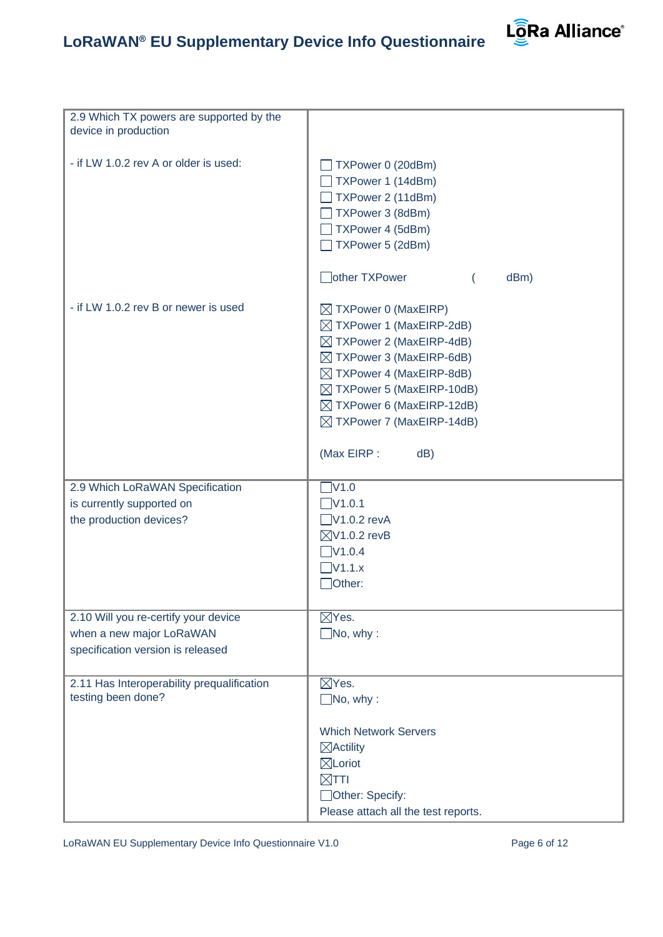

| 2.9 Which TX powers are supported by the<br>device in production                                      |                                                                                                                                                                                                                                                                                                                     |
|-------------------------------------------------------------------------------------------------------|---------------------------------------------------------------------------------------------------------------------------------------------------------------------------------------------------------------------------------------------------------------------------------------------------------------------|
| - if LW 1.0.2 rev A or older is used:                                                                 | TXPower 0 (20dBm)<br>TXPower 1 (14dBm)<br>TXPower 2 (11dBm)<br>TXPower 3 (8dBm)<br>TXPower 4 (5dBm)<br>TXPower 5 (2dBm)                                                                                                                                                                                             |
|                                                                                                       | other TXPower<br>dBm)<br>(                                                                                                                                                                                                                                                                                          |
| - if LW 1.0.2 rev B or newer is used                                                                  | $\boxtimes$ TXPower 0 (MaxEIRP)<br>$\boxtimes$ TXPower 1 (MaxEIRP-2dB)<br>$\boxtimes$ TXPower 2 (MaxEIRP-4dB)<br>$\boxtimes$ TXPower 3 (MaxEIRP-6dB)<br>$\boxtimes$ TXPower 4 (MaxEIRP-8dB)<br>$\boxtimes$ TXPower 5 (MaxEIRP-10dB)<br>$\boxtimes$ TXPower 6 (MaxEIRP-12dB)<br>$\boxtimes$ TXPower 7 (MaxEIRP-14dB) |
|                                                                                                       | (Max EIRP :<br>dB)                                                                                                                                                                                                                                                                                                  |
| 2.9 Which LoRaWAN Specification<br>is currently supported on<br>the production devices?               | $\n  V1.0\n$<br>$\Box$ V1.0.1<br>$\Box$ V1.0.2 revA<br>$\boxtimes$ V1.0.2 revB<br>$\Box$ V1.0.4<br>$\Box$ V1.1.x<br>$\Box$ Other:                                                                                                                                                                                   |
| 2.10 Will you re-certify your device<br>when a new major LoRaWAN<br>specification version is released | $\boxtimes$ Yes.<br>$\Box$ No, why:                                                                                                                                                                                                                                                                                 |
| 2.11 Has Interoperability prequalification<br>testing been done?                                      | $\boxtimes$ Yes.<br>$\Box$ No, why:                                                                                                                                                                                                                                                                                 |
|                                                                                                       | <b>Which Network Servers</b><br>$\boxtimes$ Actility<br>$\boxtimes$ Loriot<br>$\boxtimes$ TTI<br>Other: Specify:<br>Please attach all the test reports.                                                                                                                                                             |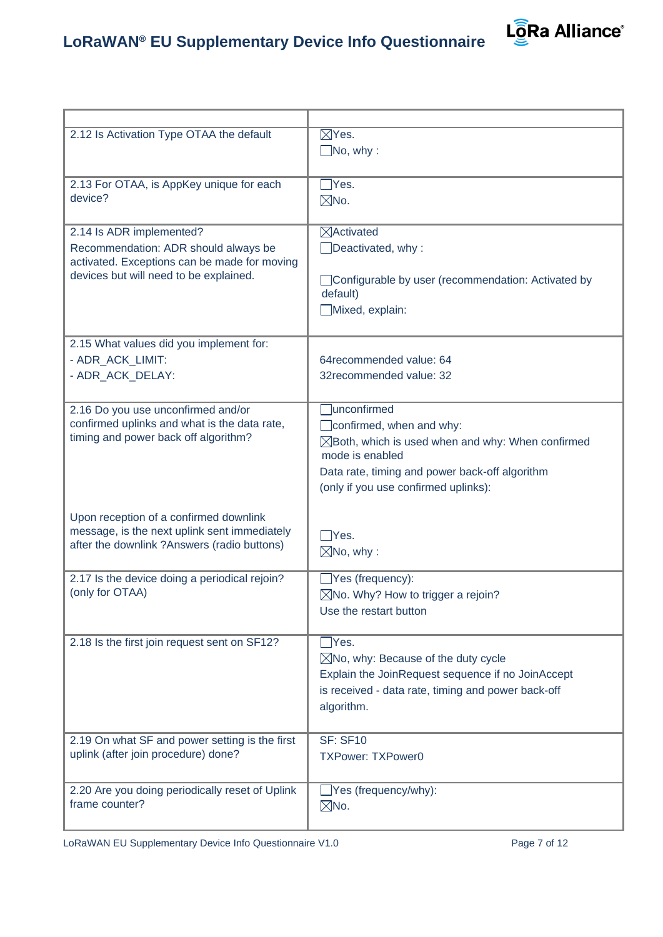

| 2.12 Is Activation Type OTAA the default                                                                                                                   | $\boxtimes$ Yes.<br>$\Box$ No, why:                                                                                                                                                                                                 |
|------------------------------------------------------------------------------------------------------------------------------------------------------------|-------------------------------------------------------------------------------------------------------------------------------------------------------------------------------------------------------------------------------------|
| 2.13 For OTAA, is AppKey unique for each<br>device?                                                                                                        | $\Box$ Yes.<br>$\boxtimes$ No.                                                                                                                                                                                                      |
| 2.14 Is ADR implemented?<br>Recommendation: ADR should always be<br>activated. Exceptions can be made for moving<br>devices but will need to be explained. | $\boxtimes$ Activated<br>Deactivated, why:<br>Configurable by user (recommendation: Activated by<br>default)<br>Mixed, explain:                                                                                                     |
| 2.15 What values did you implement for:<br>- ADR_ACK_LIMIT:<br>- ADR ACK DELAY:                                                                            | 64recommended value: 64<br>32recommended value: 32                                                                                                                                                                                  |
| 2.16 Do you use unconfirmed and/or<br>confirmed uplinks and what is the data rate,<br>timing and power back off algorithm?                                 | <b>lunconfirmed</b><br>$\Box$ confirmed, when and why:<br>$\boxtimes$ Both, which is used when and why: When confirmed<br>mode is enabled<br>Data rate, timing and power back-off algorithm<br>(only if you use confirmed uplinks): |
| Upon reception of a confirmed downlink<br>message, is the next uplink sent immediately<br>after the downlink ?Answers (radio buttons)                      | $\Box$ Yes.<br>$\boxtimes$ No, why :                                                                                                                                                                                                |
| 2.17 Is the device doing a periodical rejoin?<br>(only for OTAA)                                                                                           | $\Box$ Yes (frequency):<br>$\boxtimes$ No. Why? How to trigger a rejoin?<br>Use the restart button                                                                                                                                  |
| 2.18 Is the first join request sent on SF12?                                                                                                               | $\Box$ Yes.<br>$\boxtimes$ No, why: Because of the duty cycle<br>Explain the JoinRequest sequence if no JoinAccept<br>is received - data rate, timing and power back-off<br>algorithm.                                              |
| 2.19 On what SF and power setting is the first<br>uplink (after join procedure) done?                                                                      | <b>SF: SF10</b><br><b>TXPower: TXPower0</b>                                                                                                                                                                                         |
| 2.20 Are you doing periodically reset of Uplink<br>frame counter?                                                                                          | $\Box$ Yes (frequency/why):<br>$\boxtimes$ No.                                                                                                                                                                                      |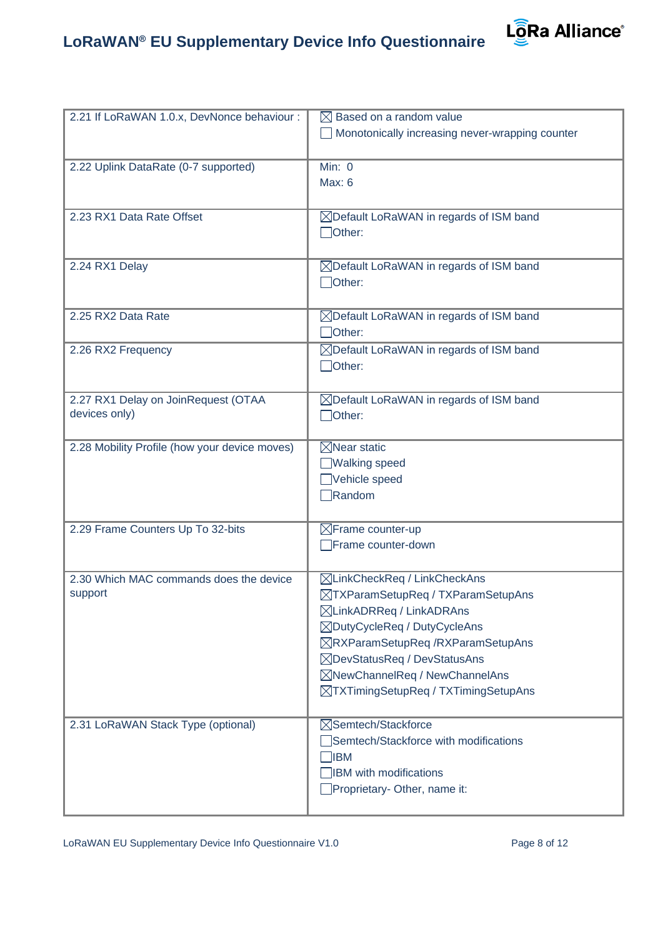

| 2.21 If LoRaWAN 1.0.x, DevNonce behaviour :          | $\boxtimes$ Based on a random value<br>Monotonically increasing never-wrapping counter                                                                                                                                                                                               |
|------------------------------------------------------|--------------------------------------------------------------------------------------------------------------------------------------------------------------------------------------------------------------------------------------------------------------------------------------|
| 2.22 Uplink DataRate (0-7 supported)                 | Min: $0$<br>Max: $6$                                                                                                                                                                                                                                                                 |
| 2.23 RX1 Data Rate Offset                            | ⊠Default LoRaWAN in regards of ISM band<br>$\Box$ Other:                                                                                                                                                                                                                             |
| 2.24 RX1 Delay                                       | $\boxtimes$ Default LoRaWAN in regards of ISM band<br>Other:                                                                                                                                                                                                                         |
| 2.25 RX2 Data Rate                                   | $\boxtimes$ Default LoRaWAN in regards of ISM band<br>$\Box$ Other:                                                                                                                                                                                                                  |
| 2.26 RX2 Frequency                                   | ⊠Default LoRaWAN in regards of ISM band<br>Other:                                                                                                                                                                                                                                    |
| 2.27 RX1 Delay on JoinRequest (OTAA<br>devices only) | $\boxtimes$ Default LoRaWAN in regards of ISM band<br>Other:                                                                                                                                                                                                                         |
| 2.28 Mobility Profile (how your device moves)        | $\boxtimes$ Near static<br>□Walking speed<br>Vehicle speed<br>$\Box$ Random                                                                                                                                                                                                          |
| 2.29 Frame Counters Up To 32-bits                    | ⊠Frame counter-up<br>Frame counter-down                                                                                                                                                                                                                                              |
| 2.30 Which MAC commands does the device<br>support   | ⊠LinkCheckReq / LinkCheckAns<br>⊠TXParamSetupReq / TXParamSetupAns<br><b>XLinkADRReq / LinkADRAns</b><br>⊠DutyCycleReq / DutyCycleAns<br>⊠RXParamSetupReq /RXParamSetupAns<br>⊠DevStatusReq / DevStatusAns<br>⊠NewChannelReq / NewChannelAns<br>⊠TXTimingSetupReq / TXTimingSetupAns |
| 2.31 LoRaWAN Stack Type (optional)                   | ⊠Semtech/Stackforce<br>Semtech/Stackforce with modifications<br>$\Box$ IBM<br>□IBM with modifications<br>Proprietary-Other, name it:                                                                                                                                                 |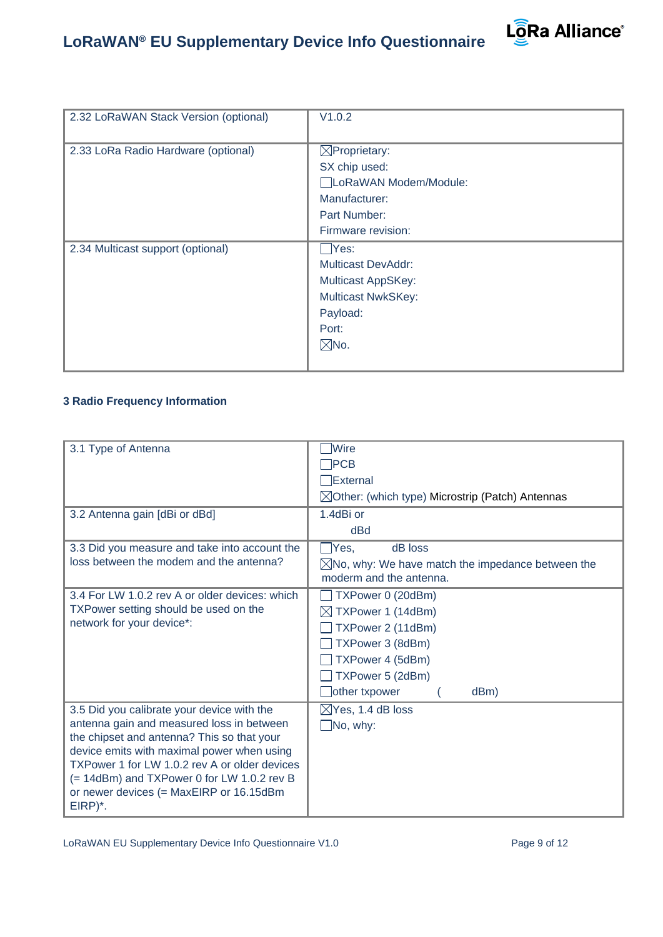

| 2.32 LoRaWAN Stack Version (optional) | V1.0.2                                                                                                                                     |
|---------------------------------------|--------------------------------------------------------------------------------------------------------------------------------------------|
| 2.33 LoRa Radio Hardware (optional)   | $\boxtimes$ Proprietary:<br>SX chip used:<br>□LoRaWAN Modem/Module:                                                                        |
|                                       | Manufacturer:<br>Part Number:<br>Firmware revision:                                                                                        |
| 2.34 Multicast support (optional)     | $\Box$ Yes:<br><b>Multicast DevAddr:</b><br><b>Multicast AppSKey:</b><br><b>Multicast NwkSKey:</b><br>Payload:<br>Port:<br>$\boxtimes$ No. |

#### **3 Radio Frequency Information**

| 3.1 Type of Antenna                                                                         | Wire                                                                                    |
|---------------------------------------------------------------------------------------------|-----------------------------------------------------------------------------------------|
|                                                                                             | $\neg$ PCB                                                                              |
|                                                                                             | External                                                                                |
|                                                                                             | $\boxtimes$ Other: (which type) Microstrip (Patch) Antennas                             |
| 3.2 Antenna gain [dBi or dBd]                                                               | 1.4dBi or                                                                               |
|                                                                                             | dBd                                                                                     |
| 3.3 Did you measure and take into account the                                               | $\Box$ Yes,<br>dB loss                                                                  |
| loss between the modem and the antenna?                                                     | $\boxtimes$ No, why: We have match the impedance between the<br>moderm and the antenna. |
| 3.4 For LW 1.0.2 rev A or older devices: which                                              | TXPower 0 (20dBm)                                                                       |
| TXPower setting should be used on the                                                       | TXPower 1 (14dBm)<br>$\bowtie$                                                          |
| network for your device*:                                                                   | TXPower 2 (11dBm)                                                                       |
|                                                                                             | TXPower 3 (8dBm)                                                                        |
|                                                                                             | TXPower 4 (5dBm)                                                                        |
|                                                                                             | TXPower 5 (2dBm)                                                                        |
|                                                                                             | other txpower<br>dBm)                                                                   |
| 3.5 Did you calibrate your device with the                                                  | $\boxtimes$ Yes, 1.4 dB loss                                                            |
| antenna gain and measured loss in between                                                   | $\Box$ No, why:                                                                         |
| the chipset and antenna? This so that your                                                  |                                                                                         |
| device emits with maximal power when using<br>TXPower 1 for LW 1.0.2 rev A or older devices |                                                                                         |
| (= 14dBm) and TXPower 0 for LW 1.0.2 rev B                                                  |                                                                                         |
| or newer devices (= MaxEIRP or 16.15dBm                                                     |                                                                                         |
| $EIRP)^*$ .                                                                                 |                                                                                         |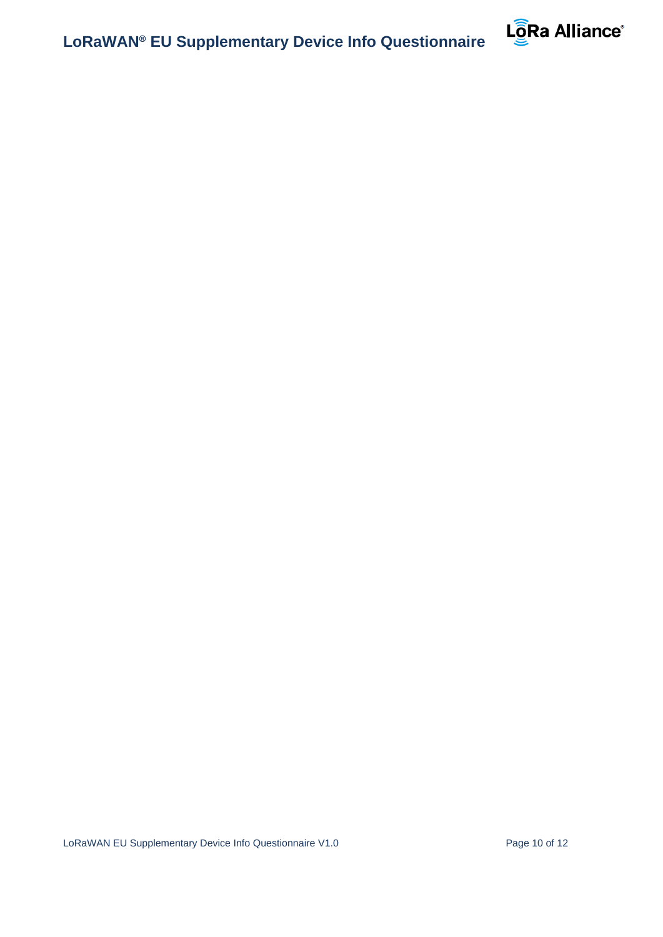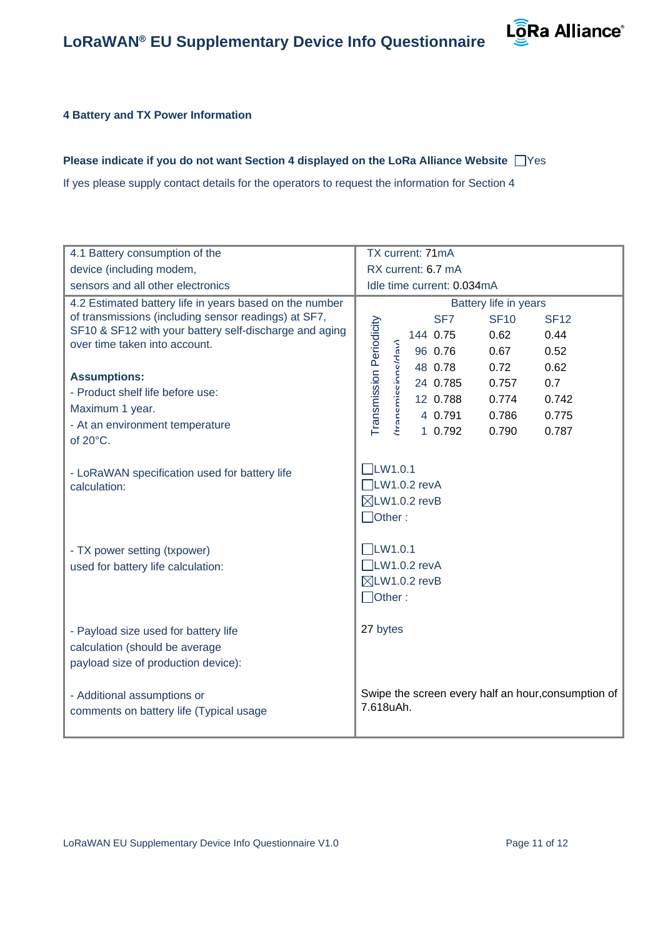

#### **4 Battery and TX Power Information**

#### **Please indicate if you do not want Section 4 displayed on the LoRa Alliance Website**  $\Box$ **Yes**

If yes please supply contact details for the operators to request the information for Section 4

| 4.1 Battery consumption of the                          | TX current: 71mA                                                           |
|---------------------------------------------------------|----------------------------------------------------------------------------|
| device (including modem,                                | RX current: 6.7 mA                                                         |
| sensors and all other electronics                       | Idle time current: 0.034mA                                                 |
| 4.2 Estimated battery life in years based on the number | Battery life in years                                                      |
| of transmissions (including sensor readings) at SF7,    | <b>SF10</b><br>SF <sub>7</sub><br><b>SF12</b>                              |
| SF10 & SF12 with your battery self-discharge and aging  | 144 0.75<br>0.62<br>0.44                                                   |
| over time taken into account.                           | Transmission Periodicity<br>(tranemieeinne/dav)<br>96 0.76<br>0.67<br>0.52 |
| <b>Assumptions:</b>                                     | 48 0.78<br>0.72<br>0.62                                                    |
| - Product shelf life before use:                        | 24 0.785<br>0.757<br>0.7                                                   |
| Maximum 1 year.                                         | 12 0.788<br>0.774<br>0.742                                                 |
| - At an environment temperature                         | 4 0.791<br>0.786<br>0.775                                                  |
| of 20°C.                                                | 1 0.792<br>0.790<br>0.787                                                  |
|                                                         |                                                                            |
| - LoRaWAN specification used for battery life           | $\Box$ LW1.0.1                                                             |
| calculation:                                            | $\Box$ LW1.0.2 revA                                                        |
|                                                         | $\boxtimes$ LW1.0.2 revB                                                   |
|                                                         | $\Box$ Other:                                                              |
|                                                         |                                                                            |
| - TX power setting (txpower)                            | $\Box$ LW1.0.1                                                             |
| used for battery life calculation:                      | $\Box$ LW1.0.2 revA                                                        |
|                                                         | $\boxtimes$ LW1.0.2 revB                                                   |
|                                                         | $\Box$ Other:                                                              |
|                                                         |                                                                            |
| - Payload size used for battery life                    | 27 bytes                                                                   |
| calculation (should be average                          |                                                                            |
| payload size of production device):                     |                                                                            |
|                                                         |                                                                            |
| - Additional assumptions or                             | Swipe the screen every half an hour, consumption of<br>7.618uAh.           |
| comments on battery life (Typical usage                 |                                                                            |
|                                                         |                                                                            |